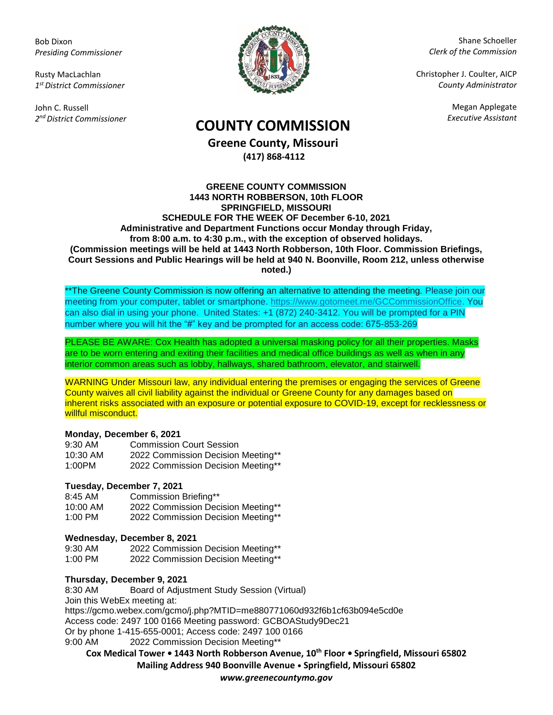Bob Dixon *Presiding Commissioner*

Rusty MacLachlan *1 st District Commissioner*

John C. Russell *2 nd District Commissioner*



Shane Schoeller *Clerk of the Commission*

Christopher J. Coulter, AICP *County Administrator*

Megan Applegate

# *Executive Assistant* **COUNTY COMMISSION**

**Greene County, Missouri (417) 868-4112**

#### **GREENE COUNTY COMMISSION 1443 NORTH ROBBERSON, 10th FLOOR SPRINGFIELD, MISSOURI SCHEDULE FOR THE WEEK OF December 6-10, 2021 Administrative and Department Functions occur Monday through Friday, from 8:00 a.m. to 4:30 p.m., with the exception of observed holidays. (Commission meetings will be held at 1443 North Robberson, 10th Floor. Commission Briefings, Court Sessions and Public Hearings will be held at 940 N. Boonville, Room 212, unless otherwise noted.)**

\*\*The Greene County Commission is now offering an alternative to attending the meeting. Please join our meeting from your computer, tablet or smartphone. [https://www.gotomeet.me/GCCommissionOffice.](https://www.gotomeet.me/GCCommissionOffice) You can also dial in using your phone. United States: +1 (872) 240-3412. You will be prompted for a PIN number where you will hit the "#" key and be prompted for an access code: 675-853-269

PLEASE BE AWARE: Cox Health has adopted a universal masking policy for all their properties. Masks are to be worn entering and exiting their facilities and medical office buildings as well as when in any interior common areas such as lobby, hallways, shared bathroom, elevator, and stairwell.

WARNING Under Missouri law, any individual entering the premises or engaging the services of Greene County waives all civil liability against the individual or Greene County for any damages based on inherent risks associated with an exposure or potential exposure to COVID-19, except for recklessness or willful misconduct.

## **Monday, December 6, 2021**

| 9:30 AM  | <b>Commission Court Session</b>    |
|----------|------------------------------------|
| 10:30 AM | 2022 Commission Decision Meeting** |
| 1:00PM   | 2022 Commission Decision Meeting** |

## **Tuesday, December 7, 2021**

8:45 AM Commission Briefing\*\* 10:00 AM 2022 Commission Decision Meeting\*\* 1:00 PM 2022 Commission Decision Meeting\*\*

### **Wednesday, December 8, 2021**

9:30 AM 2022 Commission Decision Meeting\*\* 1:00 PM 2022 Commission Decision Meeting\*\*

## **Thursday, December 9, 2021**

8:30 AM Board of Adjustment Study Session (Virtual) Join this WebEx meeting at: https://gcmo.webex.com/gcmo/j.php?MTID=me880771060d932f6b1cf63b094e5cd0e Access code: 2497 100 0166 Meeting password: GCBOAStudy9Dec21 Or by phone 1-415-655-0001; Access code: 2497 100 0166 9:00 AM 2022 Commission Decision Meeting\*\*

**Cox Medical Tower • 1443 North Robberson Avenue, 10th Floor • Springfield, Missouri 65802 Mailing Address 940 Boonville Avenue • Springfield, Missouri 65802**

*www.greenecountymo.gov*